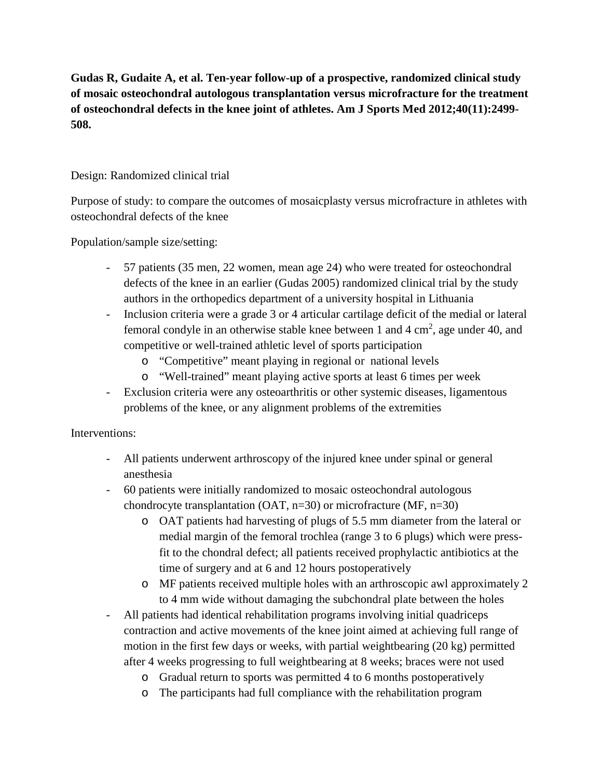**Gudas R, Gudaite A, et al. Ten-year follow-up of a prospective, randomized clinical study of mosaic osteochondral autologous transplantation versus microfracture for the treatment of osteochondral defects in the knee joint of athletes. Am J Sports Med 2012;40(11):2499- 508.**

# Design: Randomized clinical trial

Purpose of study: to compare the outcomes of mosaicplasty versus microfracture in athletes with osteochondral defects of the knee

Population/sample size/setting:

- 57 patients (35 men, 22 women, mean age 24) who were treated for osteochondral defects of the knee in an earlier (Gudas 2005) randomized clinical trial by the study authors in the orthopedics department of a university hospital in Lithuania
- Inclusion criteria were a grade 3 or 4 articular cartilage deficit of the medial or lateral femoral condyle in an otherwise stable knee between 1 and 4  $\text{cm}^2$ , age under 40, and competitive or well-trained athletic level of sports participation
	- o "Competitive" meant playing in regional or national levels
	- o "Well-trained" meant playing active sports at least 6 times per week
- Exclusion criteria were any osteoarthritis or other systemic diseases, ligamentous problems of the knee, or any alignment problems of the extremities

# Interventions:

- All patients underwent arthroscopy of the injured knee under spinal or general anesthesia
- 60 patients were initially randomized to mosaic osteochondral autologous chondrocyte transplantation (OAT, n=30) or microfracture (MF, n=30)
	- o OAT patients had harvesting of plugs of 5.5 mm diameter from the lateral or medial margin of the femoral trochlea (range 3 to 6 plugs) which were pressfit to the chondral defect; all patients received prophylactic antibiotics at the time of surgery and at 6 and 12 hours postoperatively
	- o MF patients received multiple holes with an arthroscopic awl approximately 2 to 4 mm wide without damaging the subchondral plate between the holes
- All patients had identical rehabilitation programs involving initial quadriceps contraction and active movements of the knee joint aimed at achieving full range of motion in the first few days or weeks, with partial weightbearing (20 kg) permitted after 4 weeks progressing to full weightbearing at 8 weeks; braces were not used
	- o Gradual return to sports was permitted 4 to 6 months postoperatively
	- o The participants had full compliance with the rehabilitation program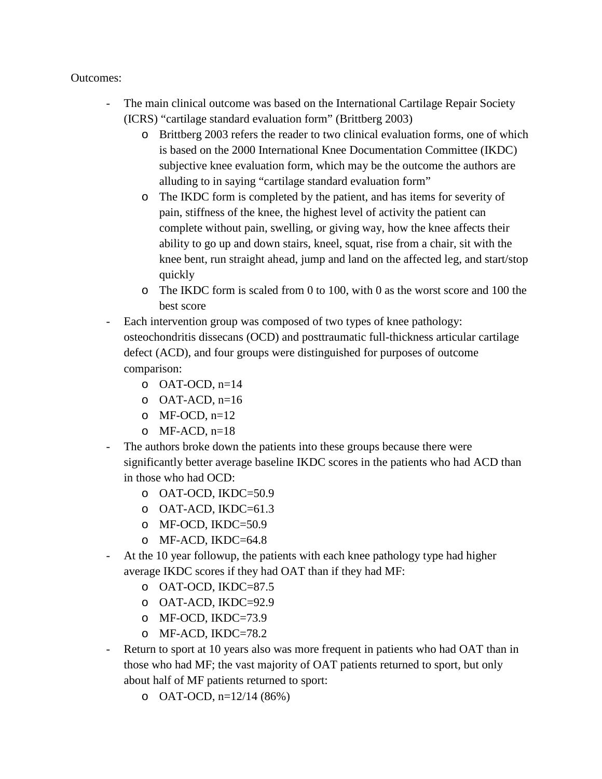### Outcomes:

- The main clinical outcome was based on the International Cartilage Repair Society (ICRS) "cartilage standard evaluation form" (Brittberg 2003)
	- o Brittberg 2003 refers the reader to two clinical evaluation forms, one of which is based on the 2000 International Knee Documentation Committee (IKDC) subjective knee evaluation form, which may be the outcome the authors are alluding to in saying "cartilage standard evaluation form"
	- o The IKDC form is completed by the patient, and has items for severity of pain, stiffness of the knee, the highest level of activity the patient can complete without pain, swelling, or giving way, how the knee affects their ability to go up and down stairs, kneel, squat, rise from a chair, sit with the knee bent, run straight ahead, jump and land on the affected leg, and start/stop quickly
	- o The IKDC form is scaled from 0 to 100, with 0 as the worst score and 100 the best score
- Each intervention group was composed of two types of knee pathology: osteochondritis dissecans (OCD) and posttraumatic full-thickness articular cartilage defect (ACD), and four groups were distinguished for purposes of outcome comparison:
	- $O$  OAT-OCD,  $n=14$
	- $O$  OAT-ACD,  $n=16$
	- $\circ$  MF-OCD, n=12
	- $O$  MF-ACD,  $n=18$
- The authors broke down the patients into these groups because there were significantly better average baseline IKDC scores in the patients who had ACD than in those who had OCD:
	- o OAT-OCD, IKDC=50.9
	- o OAT-ACD, IKDC=61.3
	- o MF-OCD, IKDC=50.9
	- o MF-ACD, IKDC=64.8
- At the 10 year followup, the patients with each knee pathology type had higher average IKDC scores if they had OAT than if they had MF:
	- o OAT-OCD, IKDC=87.5
	- o OAT-ACD, IKDC=92.9
	- o MF-OCD, IKDC=73.9
	- o MF-ACD, IKDC=78.2
- Return to sport at 10 years also was more frequent in patients who had OAT than in those who had MF; the vast majority of OAT patients returned to sport, but only about half of MF patients returned to sport:
	- o OAT-OCD,  $n=12/14(86%)$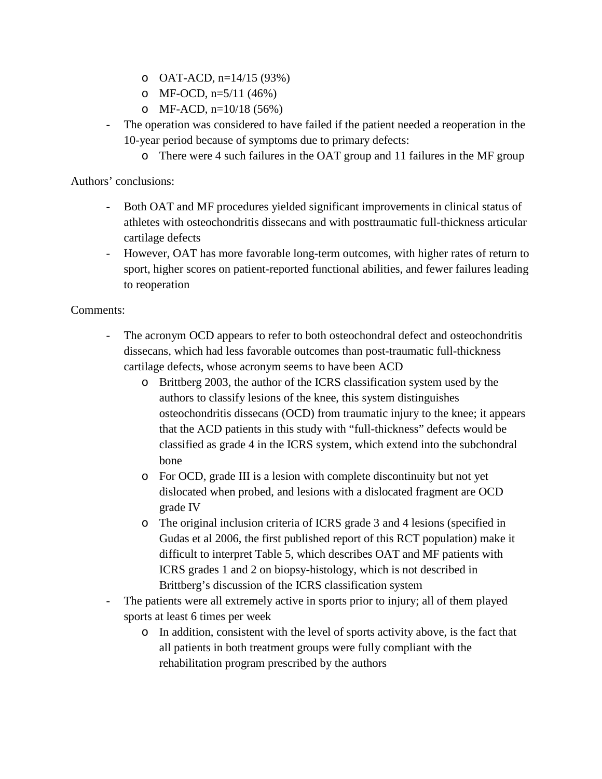- o OAT-ACD,  $n=14/15$  (93%)
- o MF-OCD,  $n=5/11$  (46%)
- o MF-ACD,  $n=10/18$  (56%)
- The operation was considered to have failed if the patient needed a reoperation in the 10-year period because of symptoms due to primary defects:
	- o There were 4 such failures in the OAT group and 11 failures in the MF group

Authors' conclusions:

- Both OAT and MF procedures yielded significant improvements in clinical status of athletes with osteochondritis dissecans and with posttraumatic full-thickness articular cartilage defects
- However, OAT has more favorable long-term outcomes, with higher rates of return to sport, higher scores on patient-reported functional abilities, and fewer failures leading to reoperation

# Comments:

- The acronym OCD appears to refer to both osteochondral defect and osteochondritis dissecans, which had less favorable outcomes than post-traumatic full-thickness cartilage defects, whose acronym seems to have been ACD
	- o Brittberg 2003, the author of the ICRS classification system used by the authors to classify lesions of the knee, this system distinguishes osteochondritis dissecans (OCD) from traumatic injury to the knee; it appears that the ACD patients in this study with "full-thickness" defects would be classified as grade 4 in the ICRS system, which extend into the subchondral bone
	- o For OCD, grade III is a lesion with complete discontinuity but not yet dislocated when probed, and lesions with a dislocated fragment are OCD grade IV
	- o The original inclusion criteria of ICRS grade 3 and 4 lesions (specified in Gudas et al 2006, the first published report of this RCT population) make it difficult to interpret Table 5, which describes OAT and MF patients with ICRS grades 1 and 2 on biopsy-histology, which is not described in Brittberg's discussion of the ICRS classification system
- The patients were all extremely active in sports prior to injury; all of them played sports at least 6 times per week
	- o In addition, consistent with the level of sports activity above, is the fact that all patients in both treatment groups were fully compliant with the rehabilitation program prescribed by the authors